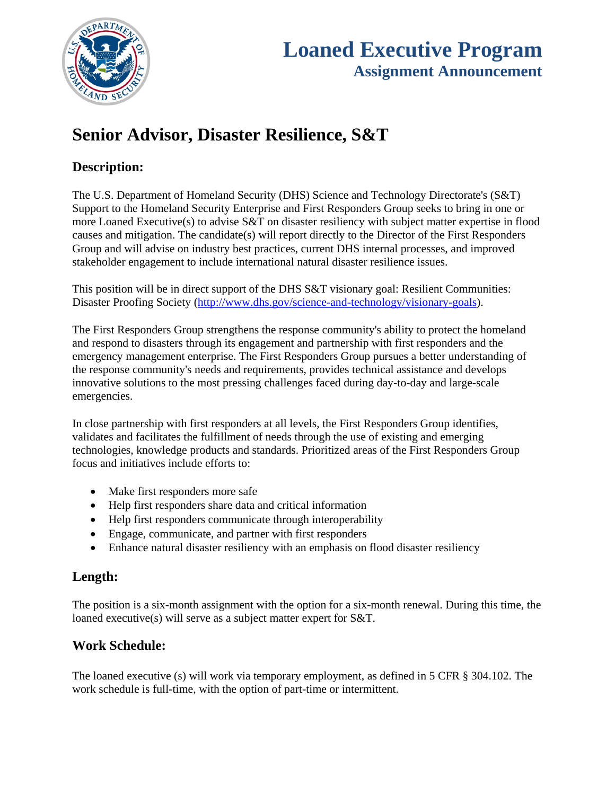

# **Senior Advisor, Disaster Resilience, S&T**

# **Description:**

The U.S. Department of Homeland Security (DHS) Science and Technology Directorate's (S&T) Support to the Homeland Security Enterprise and First Responders Group seeks to bring in one or more Loaned Executive(s) to advise S&T on disaster resiliency with subject matter expertise in flood causes and mitigation. The candidate(s) will report directly to the Director of the First Responders Group and will advise on industry best practices, current DHS internal processes, and improved stakeholder engagement to include international natural disaster resilience issues.

This position will be in direct support of the DHS S&T visionary goal: Resilient Communities: Disaster Proofing Society (http://www.dhs.gov/science-and-technology/visionary-goals).

The First Responders Group strengthens the response community's ability to protect the homeland and respond to disasters through its engagement and partnership with first responders and the emergency management enterprise. The First Responders Group pursues a better understanding of the response community's needs and requirements, provides technical assistance and develops innovative solutions to the most pressing challenges faced during day-to-day and large-scale emergencies.

In close partnership with first responders at all levels, the First Responders Group identifies, validates and facilitates the fulfillment of needs through the use of existing and emerging technologies, knowledge products and standards. Prioritized areas of the First Responders Group focus and initiatives include efforts to:

- Make first responders more safe
- Help first responders share data and critical information
- Help first responders communicate through interoperability
- Engage, communicate, and partner with first responders
- Enhance natural disaster resiliency with an emphasis on flood disaster resiliency

### **Length:**

The position is a six-month assignment with the option for a six-month renewal. During this time, the loaned executive(s) will serve as a subject matter expert for S&T.

## **Work Schedule:**

The loaned executive (s) will work via temporary employment, as defined in 5 CFR § 304.102. The work schedule is full-time, with the option of part-time or intermittent.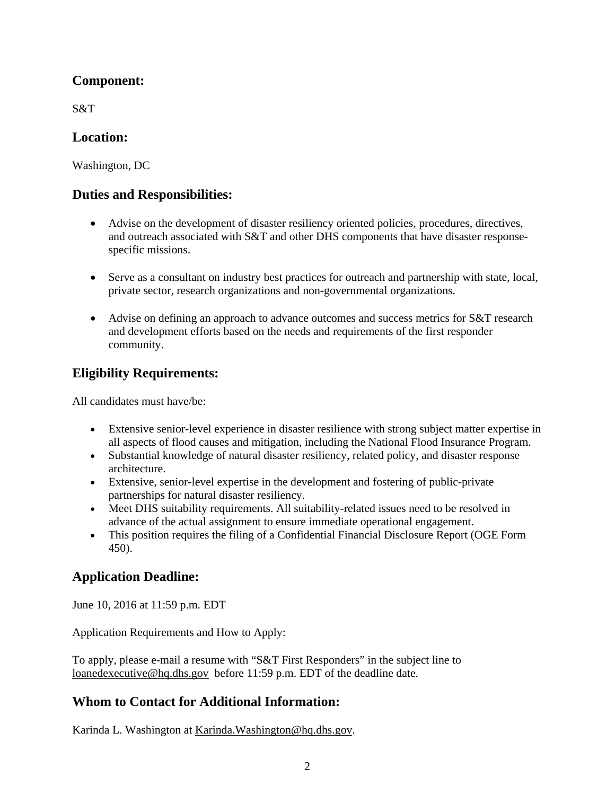## **Component:**

S&T

#### **Location:**

Washington, DC

### **Duties and Responsibilities:**

- Advise on the development of disaster resiliency oriented policies, procedures, directives, and outreach associated with S&T and other DHS components that have disaster responsespecific missions.
- Serve as a consultant on industry best practices for outreach and partnership with state, local, private sector, research organizations and non-governmental organizations.
- Advise on defining an approach to advance outcomes and success metrics for S&T research and development efforts based on the needs and requirements of the first responder community.

## **Eligibility Requirements:**

All candidates must have/be:

- Extensive senior-level experience in disaster resilience with strong subject matter expertise in all aspects of flood causes and mitigation, including the National Flood Insurance Program.
- Substantial knowledge of natural disaster resiliency, related policy, and disaster response architecture.
- partnerships for natural disaster resiliency. Extensive, senior-level expertise in the development and fostering of public-private
- Meet DHS suitability requirements. All suitability-related issues need to be resolved in advance of the actual assignment to ensure immediate operational engagement.
- This position requires the filing of a Confidential Financial Disclosure Report (OGE Form 450).

## **Application Deadline:**

June 10, 2016 at 11:59 p.m. EDT

Application Requirements and How to Apply:

To apply, please e-mail a resume with "S&T First Responders" in the subject line to loanedexecutive@hq.dhs.gov before 11:59 p.m. EDT of the deadline date.

### **Whom to Contact for Additional Information:**

Karinda L. Washington at Karinda.Washington@hq.dhs.gov.